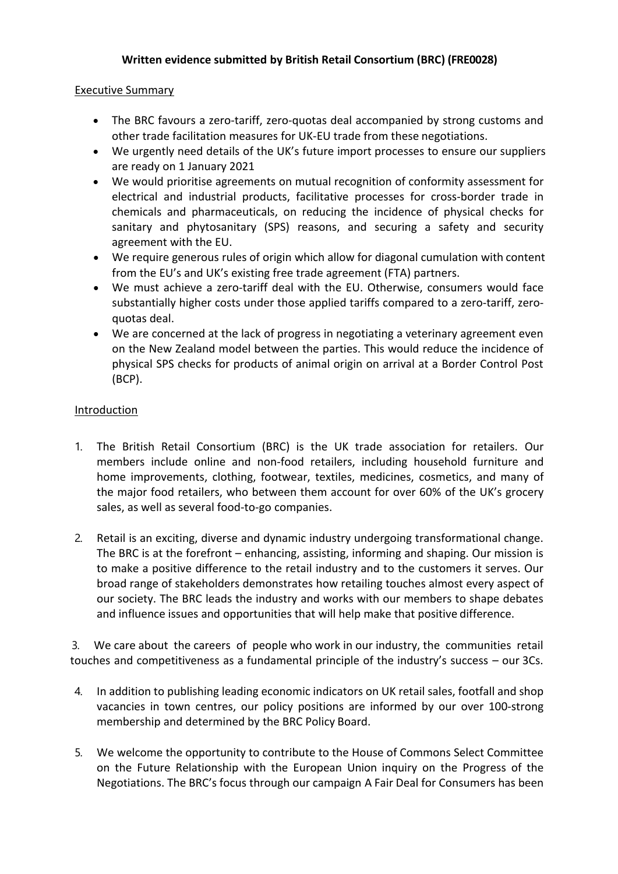## **Written evidence submitted by British Retail Consortium (BRC) (FRE0028)**

## Executive Summary

- The BRC favours a zero-tariff, zero-quotas deal accompanied by strong customs and other trade facilitation measures for UK-EU trade from these negotiations.
- We urgently need details of the UK's future import processes to ensure our suppliers are ready on 1 January 2021
- We would prioritise agreements on mutual recognition of conformity assessment for electrical and industrial products, facilitative processes for cross-border trade in chemicals and pharmaceuticals, on reducing the incidence of physical checks for sanitary and phytosanitary (SPS) reasons, and securing a safety and security agreement with the EU.
- We require generous rules of origin which allow for diagonal cumulation with content from the EU's and UK's existing free trade agreement (FTA) partners.
- We must achieve a zero-tariff deal with the EU. Otherwise, consumers would face substantially higher costs under those applied tariffs compared to a zero-tariff, zeroquotas deal.
- We are concerned at the lack of progress in negotiating a veterinary agreement even on the New Zealand model between the parties. This would reduce the incidence of physical SPS checks for products of animal origin on arrival at a Border Control Post (BCP).

## Introduction

- 1. The British Retail Consortium (BRC) is the UK trade association for retailers. Our members include online and non-food retailers, including household furniture and home improvements, clothing, footwear, textiles, medicines, cosmetics, and many of the major food retailers, who between them account for over 60% of the UK's grocery sales, as well as several food-to-go companies.
- 2. Retail is an exciting, diverse and dynamic industry undergoing transformational change. The BRC is at the forefront – enhancing, assisting, informing and shaping. Our mission is to make a positive difference to the retail industry and to the customers it serves. Our broad range of stakeholders demonstrates how retailing touches almost every aspect of our society. The BRC leads the industry and works with our members to shape debates and influence issues and opportunities that will help make that positive difference.

3. We care about the careers of people who work in our industry, the communities retail touches and competitiveness as a fundamental principle of the industry's success – our 3Cs.

- 4. In addition to publishing leading economic indicators on UK retail sales, footfall and shop vacancies in town centres, our policy positions are informed by our over 100-strong membership and determined by the BRC Policy Board.
- 5. We welcome the opportunity to contribute to the House of Commons Select Committee on the Future Relationship with the European Union inquiry on the Progress of the Negotiations. The BRC's focus through our campaign A Fair Deal for Consumers has been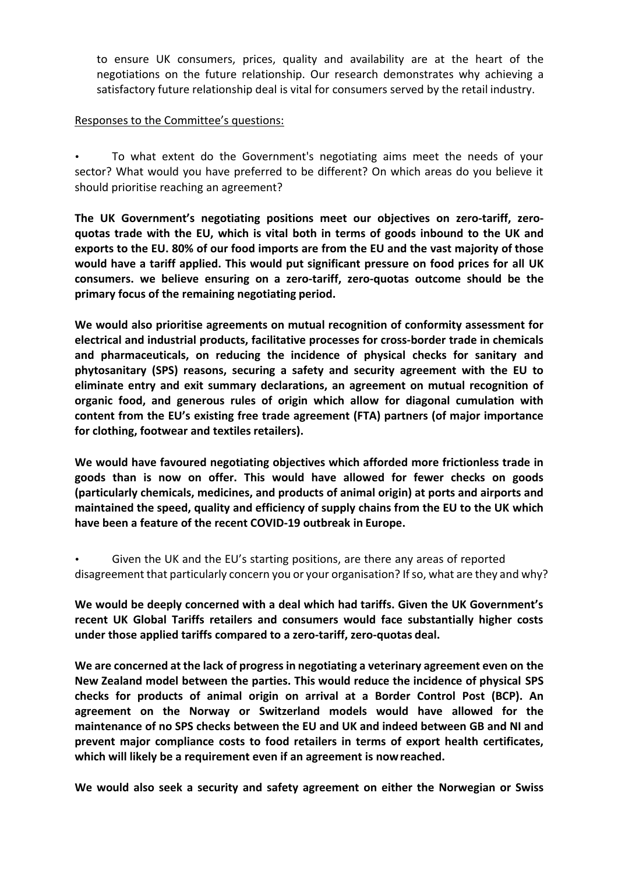to ensure UK consumers, prices, quality and availability are at the heart of the negotiations on the future relationship. Our research demonstrates why achieving a satisfactory future relationship deal is vital for consumers served by the retail industry.

## Responses to the Committee's questions:

• To what extent do the Government's negotiating aims meet the needs of your sector? What would you have preferred to be different? On which areas do you believe it should prioritise reaching an agreement?

**The UK Government's negotiating positions meet our objectives on zero-tariff, zeroquotas trade with the EU, which is vital both in terms of goods inbound to the UK and exports to the EU. 80% of our food imports are from the EU and the vast majority of those would have a tariff applied. This would put significant pressure on food prices for all UK consumers. we believe ensuring on a zero-tariff, zero-quotas outcome should be the primary focus of the remaining negotiating period.**

**We would also prioritise agreements on mutual recognition of conformity assessment for electrical and industrial products, facilitative processes for cross-border trade in chemicals and pharmaceuticals, on reducing the incidence of physical checks for sanitary and phytosanitary (SPS) reasons, securing a safety and security agreement with the EU to eliminate entry and exit summary declarations, an agreement on mutual recognition of organic food, and generous rules of origin which allow for diagonal cumulation with content from the EU's existing free trade agreement (FTA) partners (of major importance for clothing, footwear and textiles retailers).**

**We would have favoured negotiating objectives which afforded more frictionless trade in goods than is now on offer. This would have allowed for fewer checks on goods (particularly chemicals, medicines, and products of animal origin) at ports and airports and maintained the speed, quality and efficiency of supply chains from the EU to the UK which have been a feature of the recent COVID-19 outbreak in Europe.**

Given the UK and the EU's starting positions, are there any areas of reported disagreement that particularly concern you or your organisation? If so, what are they and why?

**We would be deeply concerned with a deal which had tariffs. Given the UK Government's recent UK Global Tariffs retailers and consumers would face substantially higher costs under those applied tariffs compared to a zero-tariff, zero-quotas deal.**

**We are concerned at the lack of progress in negotiating a veterinary agreement even on the New Zealand model between the parties. This would reduce the incidence of physical SPS checks for products of animal origin on arrival at a Border Control Post (BCP). An agreement on the Norway or Switzerland models would have allowed for the maintenance of no SPS checks between the EU and UK and indeed between GB and NI and prevent major compliance costs to food retailers in terms of export health certificates, which will likely be a requirement even if an agreement is nowreached.**

**We would also seek a security and safety agreement on either the Norwegian or Swiss**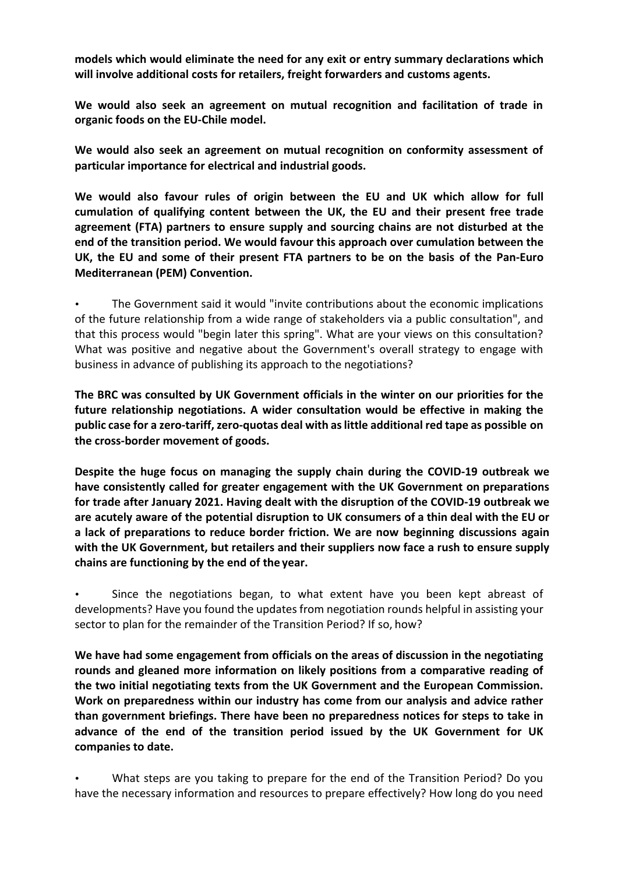**models which would eliminate the need for any exit or entry summary declarations which will involve additional costs for retailers, freight forwarders and customs agents.**

**We would also seek an agreement on mutual recognition and facilitation of trade in organic foods on the EU-Chile model.**

**We would also seek an agreement on mutual recognition on conformity assessment of particular importance for electrical and industrial goods.**

**We would also favour rules of origin between the EU and UK which allow for full cumulation of qualifying content between the UK, the EU and their present free trade agreement (FTA) partners to ensure supply and sourcing chains are not disturbed at the end of the transition period. We would favour this approach over cumulation between the UK, the EU and some of their present FTA partners to be on the basis of the Pan-Euro Mediterranean (PEM) Convention.**

The Government said it would "invite contributions about the economic implications of the future relationship from a wide range of stakeholders via a public consultation", and that this process would "begin later this spring". What are your views on this consultation? What was positive and negative about the Government's overall strategy to engage with business in advance of publishing its approach to the negotiations?

**The BRC was consulted by UK Government officials in the winter on our priorities for the future relationship negotiations. A wider consultation would be effective in making the public case for a zero-tariff,zero-quotas deal with aslittle additional red tape as possible on the cross-border movement of goods.**

**Despite the huge focus on managing the supply chain during the COVID-19 outbreak we have consistently called for greater engagement with the UK Government on preparations for trade after January 2021. Having dealt with the disruption of the COVID-19 outbreak we are acutely aware of the potential disruption to UK consumers of a thin deal with the EU or a lack of preparations to reduce border friction. We are now beginning discussions again with the UK Government, but retailers and their suppliers now face a rush to ensure supply chains are functioning by the end of the year.**

• Since the negotiations began, to what extent have you been kept abreast of developments? Have you found the updates from negotiation rounds helpful in assisting your sector to plan for the remainder of the Transition Period? If so, how?

**We have had some engagement from officials on the areas of discussion in the negotiating rounds and gleaned more information on likely positions from a comparative reading of the two initial negotiating texts from the UK Government and the European Commission. Work on preparedness within our industry has come from our analysis and advice rather than government briefings. There have been no preparedness notices for steps to take in advance of the end of the transition period issued by the UK Government for UK companies to date.**

• What steps are you taking to prepare for the end of the Transition Period? Do you have the necessary information and resources to prepare effectively? How long do you need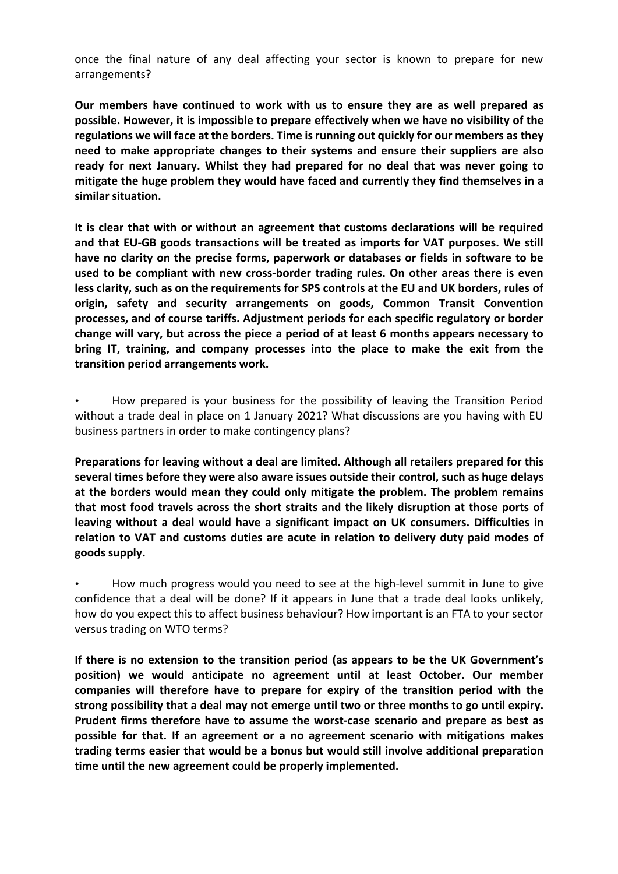once the final nature of any deal affecting your sector is known to prepare for new arrangements?

**Our members have continued to work with us to ensure they are as well prepared as possible. However, it is impossible to prepare effectively when we have no visibility of the regulations we will face at the borders. Time isrunning out quickly for our members as they need to make appropriate changes to their systems and ensure their suppliers are also ready for next January. Whilst they had prepared for no deal that was never going to mitigate the huge problem they would have faced and currently they find themselves in a similar situation.**

**It is clear that with or without an agreement that customs declarations will be required and that EU-GB goods transactions will be treated as imports for VAT purposes. We still have no clarity on the precise forms, paperwork or databases or fields in software to be used to be compliant with new cross-border trading rules. On other areas there is even less clarity, such as on the requirements for SPS controls at the EU and UK borders, rules of origin, safety and security arrangements on goods, Common Transit Convention processes, and of course tariffs. Adjustment periods for each specific regulatory or border change will vary, but across the piece a period of at least 6 months appears necessary to bring IT, training, and company processes into the place to make the exit from the transition period arrangements work.**

• How prepared is your business for the possibility of leaving the Transition Period without a trade deal in place on 1 January 2021? What discussions are you having with EU business partners in order to make contingency plans?

**Preparations for leaving without a deal are limited. Although all retailers prepared for this several times before they were also aware issues outside their control, such as huge delays at the borders would mean they could only mitigate the problem. The problem remains that most food travels across the short straits and the likely disruption at those ports of leaving without a deal would have a significant impact on UK consumers. Difficulties in relation to VAT and customs duties are acute in relation to delivery duty paid modes of goods supply.**

• How much progress would you need to see at the high-level summit in June to give confidence that a deal will be done? If it appears in June that a trade deal looks unlikely, how do you expect this to affect business behaviour? How important is an FTA to your sector versus trading on WTO terms?

**If there is no extension to the transition period (as appears to be the UK Government's position) we would anticipate no agreement until at least October. Our member companies will therefore have to prepare for expiry of the transition period with the strong possibility that a deal may not emerge until two or three months to go until expiry. Prudent firms therefore have to assume the worst-case scenario and prepare as best as possible for that. If an agreement or a no agreement scenario with mitigations makes trading terms easier that would be a bonus but would still involve additional preparation time until the new agreement could be properly implemented.**